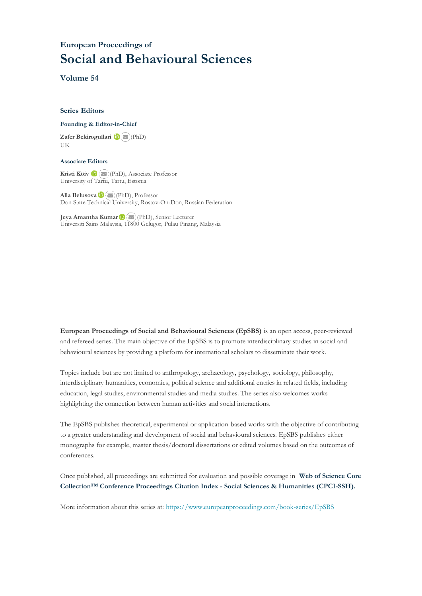# **European Proceedings of Social and Behavioural Sciences**

**Volume 54**

#### **Series Editors**

#### **Founding & Editor-in-Chief**

**Zafer Bekirogullari**(PhD) UK

#### **Associate Editors**

**Kristi Köiv** (PhD), Associate Professor University of Tartu, Tartu, Estonia

**Alla Belusova**(PhD), Professor Don State Technical University, Rostov-On-Don, Russian Federation

**Jeya Amantha Kumar**(PhD), Senior Lecturer Universiti Sains Malaysia, [1180](mailto:amantha@usm.my)0 Gelugor, Pulau Pinang, Malaysia

**European Proceedings of Social and Behavioural Sciences (EpSBS)** is an open access, peer-reviewed and refereed series. The main objective of the EpSBS is to promote interdisciplinary studies in social and behavioural sciences by providing a platform for international scholars to disseminate their work.

Topics include but are not limited to anthropology, archaeology, psychology, sociology, philosophy, interdisciplinary humanities, economics, political science and additional entries in related fields, including education, legal studies, environmental studies and media studies. The series also welcomes works highlighting the connection between human activities and social interactions.

The EpSBS publishes theoretical, experimental or application-based works with the objective of contributing to a greater understanding and development of social and behavioural sciences. EpSBS publishes either monographs for example, master thesis/doctoral dissertations or edited volumes based on the outcomes of conferences.

Once published, all proceedings are submitted for evaluation and possible coverage in **Web of [Science](https://clarivate.com/webofsciencegroup/solutions/webofscience-cpci/) Core Collection™ Conference Proceedings Citation Index - Social Sciences & Humanities [\(CPCI-SSH\).](https://clarivate.com/webofsciencegroup/solutions/webofscience-cpci/)**

More information about this series at[: https://www.europeanproceedings.com/book-series/EpSBS](https://www.europeanproceedings.com/book-series/EpSBS)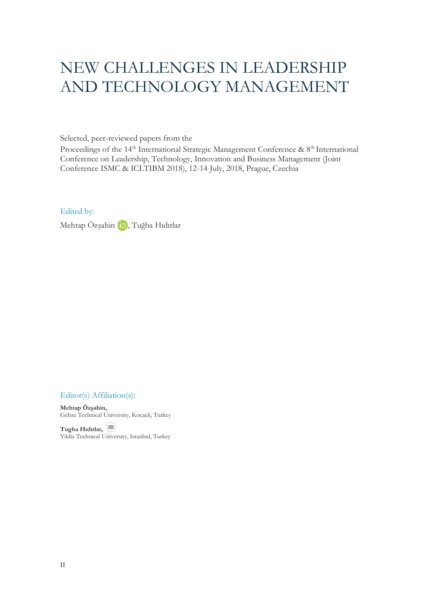# NEW CHALLENGES IN LEADERSHIP AND TECHNOLOGY MANAGEMENT

Selected, peer-reviewed papers from the

Proceedings of the 14<sup>th</sup> International Strategic Management Conference & 8<sup>th</sup> International Conference on Leadership, Technology, Innovation and Business Management (Joint Conference ISMC & ICLTIBM 2018), 12-14 July, 2018, Prague, Czechia

Edited by:

Mehtap Özşahin **İD**, Tuğba Hıdırlar

Editor(s) Affiliation(s):

**Mehtap Özşahin,**  Gebze Technical University, Kocaeli, Turkey

**Tugba Hıdırlar,**  Yildiz Technical University, Istanbul, Turkey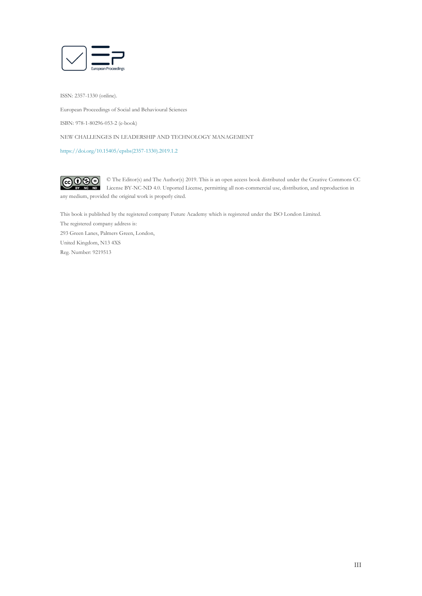

ISSN: 2357-1330 (online).

European Proceedings of Social and Behavioural Sciences

ISBN: 978-1-80296-053-2 (e-book)

NEW CHALLENGES IN LEADERSHIP AND TECHNOLOGY MANAGEMENT

[https://doi.org/10.15405/epsbs\(2357-1330\).2019.1.2](https://doi.org/10.15405/epsbs(2357-1330).2019.1.2)

 $G \odot \odot$ © The Editor(s) and The Author(s) 2019. This is an open access book distributed under the Creative Commons CC License BY-NC-ND 4.0. Unported License, permitting all non-commercial use, distribution, and reproduction in  $\overline{ND}$ any medium, provided the original work is properly cited.

This book is published by the registered company Future Academy which is registered under the ISO London Limited. The registered company address is: 293 Green Lanes, Palmers Green, London, United Kingdom, N13 4XS Reg. Number: 9219513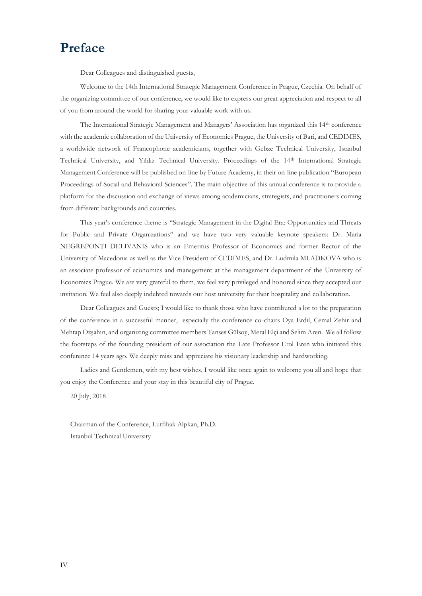# **Preface**

Dear Colleagues and distinguished guests,

Welcome to the 14th International Strategic Management Conference in Prague, Czechia. On behalf of the organizing committee of our conference, we would like to express our great appreciation and respect to all of you from around the world for sharing your valuable work with us.

The International Strategic Management and Managers' Association has organized this 14th conference with the academic collaboration of the University of Economics Prague, the University of Bari, and CEDIMES, a worldwide network of Francophone academicians, together with Gebze Technical University, Istanbul Technical University, and Yıldız Technical University. Proceedings of the 14th International Strategic Management Conference will be published on-line by Future Academy, in their on-line publication "European Proceedings of Social and Behavioral Sciences". The main objective of this annual conference is to provide a platform for the discussion and exchange of views among academicians, strategists, and practitioners coming from different backgrounds and countries.

This year's conference theme is "Strategic Management in the Digital Era: Opportunities and Threats for Public and Private Organizations" and we have two very valuable keynote speakers: Dr. Maria NEGREPONTI DELIVANIS who is an Emeritus Professor of Economics and former Rector of the University of Macedonia as well as the Vice President of CEDIMES, and Dr. Ludmila MLADKOVA who is an associate professor of economics and management at the management department of the University of Economics Prague. We are very grateful to them, we feel very privileged and honored since they accepted our invitation. We feel also deeply indebted towards our host university for their hospitality and collaboration.

Dear Colleagues and Guests; I would like to thank those who have contributed a lot to the preparation of the conference in a successful manner, especially the conference co-chairs Oya Erdil, Cemal Zehir and Mehtap Özşahin, and organizing committee members Tanses Gülsoy, Meral Elçi and Selim Aren. We all follow the footsteps of the founding president of our association the Late Professor Erol Eren who initiated this conference 14 years ago. We deeply miss and appreciate his visionary leadership and hardworking.

Ladies and Gentlemen, with my best wishes, I would like once again to welcome you all and hope that you enjoy the Conference and your stay in this beautiful city of Prague.

20 July, 2018

Chairman of the Conference, Lutfihak Alpkan, Ph.D. Istanbul Technical University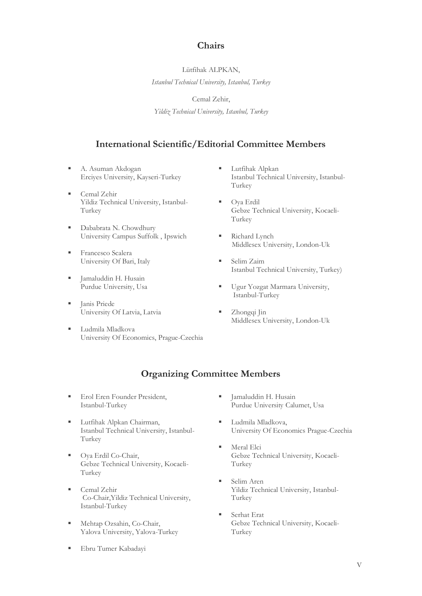# **Chairs**

Lütfihak ALPKAN, *Istanbul Technical University, Istanbul, Turkey*

Cemal Zehir,

*Yildiz Technical University, Istanbul, Turkey*

# **International Scientific/Editorial Committee Members**

- A. Asuman Akdogan Erciyes University, Kayseri-Turkey
- Cemal Zehir Yildiz Technical University, Istanbul-Turkey
- Dababrata N. Chowdhury University Campus Suffolk , Ipswich
- Francesco Scalera University Of Bari, Italy
- Jamaluddin H. Husain Purdue University, Usa
- Janis Priede University Of Latvia, Latvia
- Ludmila Mladkova University Of Economics, Prague-Czechia
- **■** Lutfihak Alpkan Istanbul Technical University, Istanbul-Turkey
- Oya Erdil Gebze Technical University, Kocaeli-Turkey
- Richard Lynch Middlesex University, London-Uk
- Selim Zaim Istanbul Technical University, Turkey)
- **Ugur Yozgat Marmara University,** Istanbul-Turkey
- Zhongqi Jin Middlesex University, London-Uk

# **Organizing Committee Members**

- Erol Eren Founder President, Istanbul-Turkey
- Lutfihak Alpkan Chairman, Istanbul Technical University, Istanbul-Turkey
- Oya Erdil Co-Chair, Gebze Technical University, Kocaeli-Turkey
- Cemal Zehir Co-Chair,Yildiz Technical University, Istanbul-Turkey
- Mehtap Ozsahin, Co-Chair, Yalova University, Yalova-Turkey
- **I** Jamaluddin H. Husain Purdue University Calumet, Usa
- Ludmila Mladkova, University Of Economics Prague-Czechia
- Meral Elci Gebze Technical University, Kocaeli-Turkey
- Selim Aren Yildiz Technical University, Istanbul-Turkey
- Serhat Erat Gebze Technical University, Kocaeli-Turkey

Ebru Tumer Kabadayi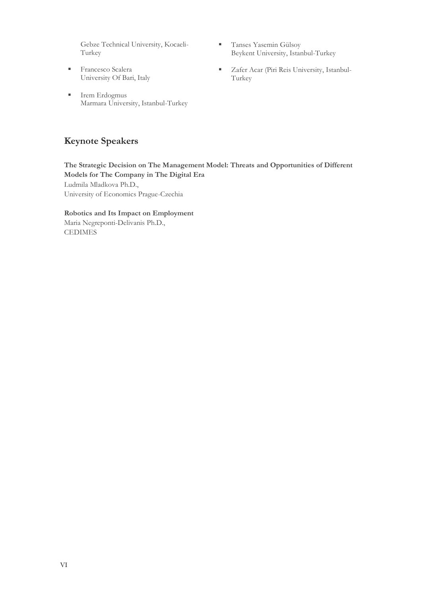Gebze Technical University, Kocaeli-Turkey

- **Exercesco Scalera** University Of Bari, Italy
- Irem Erdogmus Marmara University, Istanbul-Turkey
- **Tanses Yasemin Gülsoy** Beykent University, Istanbul-Turkey
- Zafer Acar (Piri Reis University, Istanbul-Turkey

# **Keynote Speakers**

**The Strategic Decision on The Management Model: Threats and Opportunities of Different Models for The Company in The Digital Era** Ludmila Mladkova Ph.D., University of Economics Prague-Czechia

**Robotics and Its Impact on Employment** Maria Negreponti-Delivanis Ph.D., CEDIMES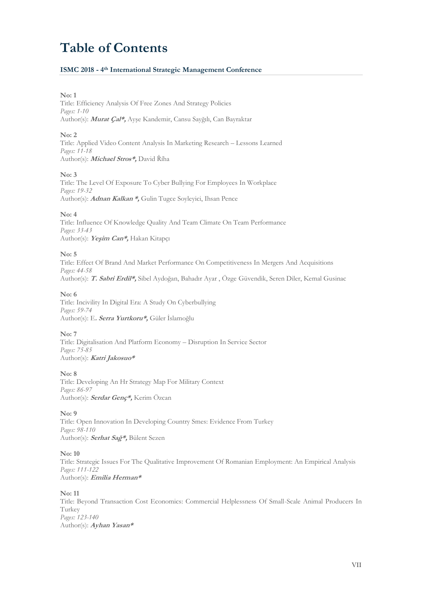# **Table of Contents**

# **ISMC 2018 - 4 th International Strategic Management Conference**

#### **No: 1**

Title: Efficiency Analysis Of Free Zones And Strategy Policies *Pages: 1-10* Author(s): **Murat Çal\*,** Ayşe Kandemir, Cansu Sayğılı, Can Bayraktar

# **No: 2**

Title: Applied Video Content Analysis In Marketing Research – Lessons Learned *Pages: 11-18* Author(s): **Michael Stros\*,** David Říha

# **No: 3**

Title: The Level Of Exposure To Cyber Bullying For Employees In Workplace *Pages: 19-32* Author(s): **Adnan Kalkan \*,** Gulin Tugce Soyleyici, Ihsan Pence

# **No: 4**

Title: Influence Of Knowledge Quality And Team Climate On Team Performance *Pages: 33-43* Author(s): **Yeşim Can\*,** Hakan Kitapçı

# **No: 5**

Title: Effect Of Brand And Market Performance On Competitiveness In Mergers And Acquisitions *Pages: 44-58* Author(s): **T. Sabri Erdil\*,** Sibel Aydoğan, Bahadır Ayar , Özge Güvendik, Seren Diler, Kemal Gusinac

## **No: 6**

Title: Incivility In Digital Era: A Study On Cyberbullying *Pages: 59-74* Author(s): E**. Serra Yurtkoru\*,** Güler İslamoğlu

# **No: 7**

Title: Digitalisation And Platform Economy – Disruption In Service Sector *Pages: 75-85* Author(s): **Katri Jakosuo\***

# **No: 8**

Title: Developing An Hr Strategy Map For Military Context *Pages: 86-97* Author(s): **Serdar Genç\*,** Kerim Özcan

# **No: 9**

Title: Open Innovation In Developing Country Smes: Evidence From Turkey *Pages: 98-110* Author(s): **Serhat Sağ\*,** Bülent Sezen

# **No: 10**

Title: Strategic Issues For The Qualitative Improvement Of Romanian Employment: An Empirical Analysis *Pages: 111-122* Author(s): **Emilia Herman\***

# **No: 11**

Title: Beyond Transaction Cost Economics: Commercial Helplessness Of Small-Scale Animal Producers In Turkey *Pages: 123-140* Author(s): **Ayhan Yasan\***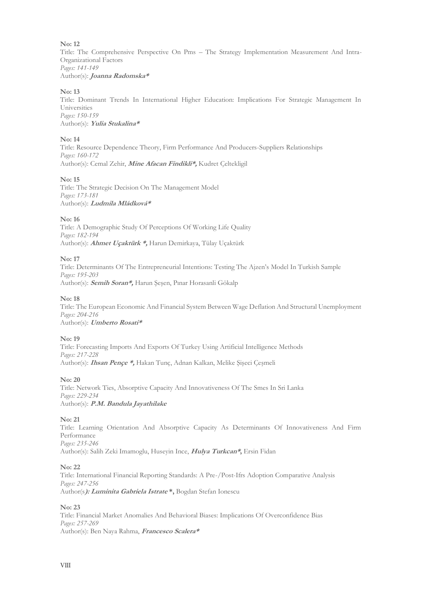Title: The Comprehensive Perspective On Pms – The Strategy Implementation Measurement And Intra-Organizational Factors *Pages: 141-149* Author(s): **Joanna Radomska\***

# **No: 13**

Title: Dominant Trends In International Higher Education: Implications For Strategic Management In Universities *Pages: 150-159* Author(s): **Yulia Stukalina\***

# **No: 14**

Title: Resource Dependence Theory, Firm Performance And Producers-Suppliers Relationships *Pages: 160-172* Author(s): Cemal Zehir, **Mine Afacan Findikli\*,** Kudret Çeltekligil

# **No: 15**

Title: The Strategic Decision On The Management Model *Pages: 173-181* Author(s): **Ludmila Mládková\***

# **No: 16**

Title: A Demographic Study Of Perceptions Of Working Life Quality *Pages: 182-194* Author(s): **Ahmet Uçaktürk \*,** Harun Demirkaya, Tülay Uçaktürk

# **No: 17**

Title: Determinants Of The Entrepreneurial Intentions: Testing The Ajzen's Model In Turkish Sample *Pages: 195-203* Author(s): **Semih Soran\*,** Harun Şeşen, Pınar Horasanli Gökalp

# **No: 18**

Title: The European Economic And Financial System Between Wage Deflation And Structural Unemployment *Pages: 204-216* Author(s): **Umberto Rosati\***

# **No: 19**

Title: Forecasting Imports And Exports Of Turkey Using Artificial Intelligence Methods *Pages: 217-228* Author(s): **Ihsan Pençe \*,** Hakan Tunç, Adnan Kalkan, Melike Şişeci Çeşmeli

# **No: 20**

Title: Network Ties, Absorptive Capacity And Innovativeness Of The Smes In Sri Lanka *Pages: 229-234* Author(s): **P.M. Bandula Jayathilake**

# **No: 21**

Title: Learning Orientation And Absorptive Capacity As Determinants Of Innovativeness And Firm Performance *Pages: 235-246* Author(s): Salih Zeki Imamoglu, Huseyin Ince, **Hulya Turkcan\*,** Ersin Fidan

# **No: 22**

Title: International Financial Reporting Standards: A Pre-/Post-Ifrs Adoption Comparative Analysis *Pages: 247-256* Author(s**): Luminita Gabriela Istrate \*,** Bogdan Stefan Ionescu

# **No: 23**

Title: Financial Market Anomalies And Behavioral Biases: Implications Of Overconfidence Bias *Pages: 257-269* Author(s): Ben Naya Rahma, **Francesco Scalera\***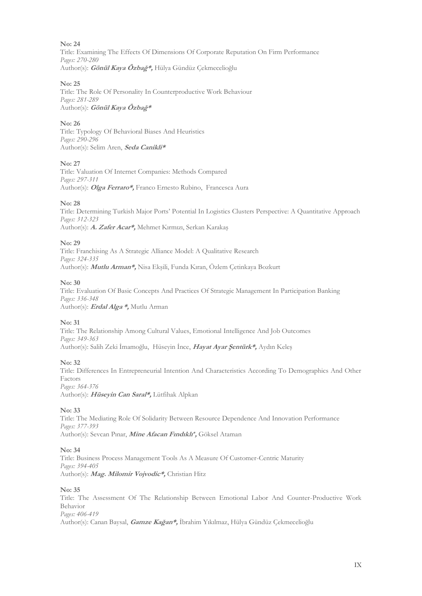Title: Examining The Effects Of Dimensions Of Corporate Reputation On Firm Performance *Pages: 270-280* Author(s): **Gönül Kaya Özbağ\*,** Hülya Gündüz Çekmecelioğlu

## **No: 25**

Title: The Role Of Personality In Counterproductive Work Behaviour *Pages: 281-289* Author(s): **Gönül Kaya Özbağ\***

# **No: 26**

Title: Typology Of Behavioral Biases And Heuristics *Pages: 290-296* Author(s): Selim Aren, **Seda Canikli\***

#### **No: 27**

Title: Valuation Of Internet Companies: Methods Compared *Pages: 297-311* Author(s): **Olga Ferraro\*,** Franco Ernesto Rubino, Francesca Aura

#### **No: 28**

Title: Determining Turkish Major Ports' Potential In Logistics Clusters Perspective: A Quantitative Approach *Pages: 312-323* Author(s): **A. Zafer Acar\*,** Mehmet Kırmızı, Serkan Karakaş

#### **No: 29**

Title: Franchising As A Strategic Alliance Model: A Qualitative Research *Pages: 324-335* Author(s): **Mutlu Arman\*,** Nisa Ekşili, Funda Kıran, Özlem Çetinkaya Bozkurt

#### **No: 30**

Title: Evaluation Of Basic Concepts And Practices Of Strategic Management In Participation Banking *Pages: 336-348* Author(s): **Erdal Alga \*,** Mutlu Arman

# **No: 31**

Title: The Relationship Among Cultural Values, Emotional Intelligence And Job Outcomes *Pages: 349-363* Author(s): Salih Zeki İmamoğlu, Hüseyin İnce, **Hayat Ayar Şentürk\*,** Aydın Keleş

# **No: 32**

Title: Differences In Entrepreneurial Intention And Characteristics According To Demographics And Other Factors *Pages: 364-376*

Author(s): **Hüseyin Can Saral\*,** Lütfihak Alpkan

# **No: 33**

Title: The Mediating Role Of Solidarity Between Resource Dependence And Innovation Performance *Pages: 377-393* Author(s): Sevcan Pınar, **Mine Afacan Fındıklı \* ,** Göksel Ataman

# **No: 34**

Title: Business Process Management Tools As A Measure Of Customer-Centric Maturity *Pages: 394-405* Author(s): **Mag. Milomir Vojvodic\*,** Christian Hitz

#### **No: 35**

Title: The Assessment Of The Relationship Between Emotional Labor And Counter-Productive Work Behavior *Pages: 406-419* Author(s): Canan Baysal, **Gamze Kağan\*,** İbrahim Yıkılmaz, Hülya Gündüz Çekmecelioğlu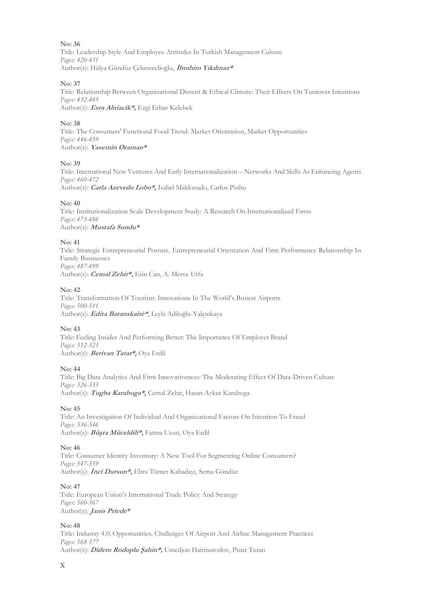**No: 36** Title: Leadership Style And Employee Attitudes In Turkish Management Culture *Pages: 420-431* Author(s): Hülya Gündüz Çekmecelioğlu, **İbrahim Yıkılmaz\***

# **No: 37**

Title: Relationship Between Organizational Dissent & Ethical Climate: Their Effects On Turnover Intentions *Pages: 432-445* Author(s): **Esra Alniacik\*,** Ezgi Erbas Kelebek

# **No: 38**

Title: The Consumers' Functional Food Trend: Market Orientation, Market Opportunities *Pages: 446-459* Author(s): **Yasemin Oraman\***

# **No: 39**

Title: International New Ventures And Early Internationalization – Networks And Skills As Enhancing Agents *Pages: 460-472* Author(s): **Carla Azevedo Lobo\*,** Isabel Maldonado, Carlos Pinho

# **No: 40**

Title: Institutionalization Scale Development Study: A Research On Internationalized Firms *Pages: 473-486* Author(s): **Mustafa Sundu\***

# **No: 41**

Title: Strategic Entrepreneurial Posture, Entrepreneurial Orientation And Firm Performance Relationship In Family Businesses *Pages: 487-499* Author(s): **Cemal Zehir\*,** Esin Can, A. Merve Urfa

# **No: 42**

Title: Transformation Of Tourism: Innovations In The World's Busiest Airports *Pages: 500-511* Author(s): **Edita Baranskaitė\***, Leyla Adiloğlu-Yalçınkaya

# **No: 43**

Title: Feeling Insider And Performing Better: The Importance Of Employer Brand *Pages: 512-525* Author(s): **Berivan Tatar\*,** Oya Erdil

# **No: 44**

Title: Big Data Analytics And Firm Innovativeness: The Moderating Effect Of Data-Driven Culture *Pages: 526-535* Author(s): **Tugba Karaboga\*,** Cemal Zehir, Hasan Aykut Karaboga

# **No: 45**

Title: An Investigation Of Individual And Organizational Factors On Intention To Fraud *Pages: 536-546* Author(s): **Büşra Müceldili\*,** Fatma Uzun, Oya Erdil

# **No: 46**

Title: Consumer Identity Inventory: A New Tool For Segmenting Online Consumers? *Pages: 547-559* Author(s): **İnci Dursun\*,** Ebru Tümer Kabadayı, Sema Gündüz

# **No: 47**

Title: European Union's International Trade Policy And Strategy *Pages: 560-567* Author(s): **Janis Priede\***

# **No: 48**

Title: Industry 4.0; Opportunities, Challenges Of Airport And Airline Management Practices *Pages: 568-577* Author(s): **Didem Rodoplu Şahin\*,** Umedjon Haitmurodov, Pinar Turan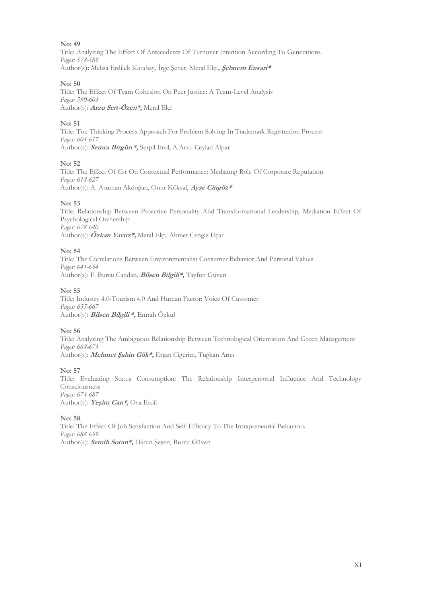Title: Analyzing The Effect Of Antecedents Of Turnover Intention According To Generations *Pages: 578-589* Author(s**):** Melisa Erdilek Karabay, İrge Şener, Meral Elçi**, Şebnem Ensari\***

# **No: 50**

Title: The Effect Of Team Cohesion On Peer Justice: A Team-Level Analysis *Pages: 590-603* Author(s): **Arzu Sert-Özen\*,** Meral Elçi

# **No: 51**

Title: Toc-Thinking Process Approach For Problem Solving In Trademark Registration Process *Pages: 604-617* Author(s): **Semra Birgün \*,** Serpil Erol, A.Arzu Ceylan Alpar

# **No: 52**

Title: The Effect Of Csr On Contextual Performance: Medıatıng Role Of Corporate Reputatıon *Pages: 618-627* Author(s): A. Asuman Akdoğan, Onur Köksal, **Ayşe Cingöz\***

# **No: 53**

Title: Relationship Between Proactive Personality And Transformational Leadership, Mediation Effect Of Psychological Ownership *Pages: 628-640* Author(s): **Özkan Yavuz\*,** Meral Elçi, Ahmet Cengiz Uçar

## **No: 54**

Title: The Correlations Between Environmentalist Consumer Behavior And Personal Values *Pages: 641-654* Author(s): F. Burcu Candan, **Bilsen Bilgili\*,** Tayfun Güven

#### **No: 55**

Title: Industry 4.0-Tourism 4.0 And Human Factor: Voice Of Customer *Pages: 655-667* Author(s): **Bilsen Bilgili \*,** Emrah Özkul

# **No: 56**

Title: Analyzing The Ambiguous Relationship Between Technological Orientation And Green Management *Pages: 668-673* Author(s): **Mehmet Şahin Gök\*,** Erşan Ciğerim, Tuğkan Arıcı

# **No: 57**

Title: Evaluating Status Consumption: The Relationship Interpersonal Influence And Technology Consciousness *Pages: 674-687* Author(s): **Yeşim Can\*,** Oya Erdil

#### **No: 58**

Title: The Effect Of Job Satisfaction And Self-Efficacy To The Intrapreneurial Behaviors *Pages: 688-699* Author(s): **Semih Soran\*,** Harun Şeşen, Burcu Güven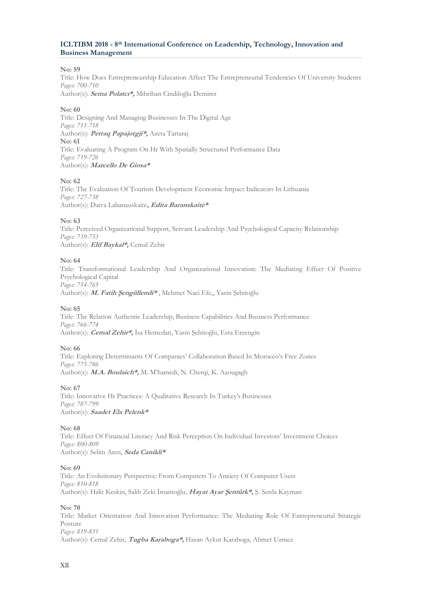# **ICLTIBM 2018 - 8 th International Conference on Leadership, Technology, Innovation and Business Management**

# **No: 59**

Title: How Does Entrepreneurship Education Affect The Entrepreneurial Tendencies Of University Students *Pages: 700-710*

Author(s): **Sema Polatcı\*,** Mihriban Cindiloğlu Demirer

# **No: 60**

Title: Designing And Managing Businesses In The Digital Age *Pages: 711-718* Author(s): **Petraq Papajorgji\*,** Azeta Tartaraj **No: 61** Title: Evaluating A Program On Hr With Spatially Structured Performance Data *Pages: 719-726* Author(s): **Marcello De Giosa\***

#### **No: 62**

Title: The Evaluation Of Tourism Development Economic Impact Indicators In Lithuania *Pages: 727-738* Author(s): Daiva Labanauskaitė**, Edita Baranskaitė\***

# **No: 63**

Title: Perceived Organizational Support, Servant Leadership And Psychological Capacity Relationship *Pages: 739-753* Author(s): **Elif Baykal\*,** Cemal Zehir

# **No: 64**

Title: Transformational Leadership And Organizational Innovation: The Mediating Effect Of Positive Psychological Capital *Pages: 754-765*

Author(s): **M. Fatih Şengüllendi\*** , Mehmet Naci Efe,, Yasin Şehitoğlu

#### **No: 65**

Title: The Relation Authentic Leadership, Business Capabilities And Business Performance *Pages: 766-774* Author(s): **Cemal Zehir\*,** İsa Hemedan, Yasin Şehitoğlu, Esra Erzengin

# **No: 66**

Title: Exploring Determinants Of Companies' Collaboration Based In Morocco's Free Zones *Pages: 775-786* Author(s): **M.A. Boulaich\*,** M. M'hamedi, N. Cherqi, K. Azougagh

# **No: 67**

Title: Innovative Hr Practices: A Qualitative Research In Turkey's Businesses *Pages: 787-799* Author(s): **Saadet Ela Pelenk\***

# **No: 68**

Title: Effect Of Financial Literacy And Risk Perception On Individual Investors' Investment Choices *Pages: 800-809* Author(s): Selim Aren, **Seda Canikli\***

#### **No: 69**

Title: An Evolutionary Perspective: From Computers To Anxiety Of Computer Users *Pages: 810-818* Author(s): Halit Keskin, Salih Zeki İmamoğlu, **Hayat Ayar Şentürk\*,** Ş. Serda Kayman

# **No: 70**

Title: Market Orientation And Innovation Performance: The Mediating Role Of Entrepreneurial Strategic Posture *Pages: 819-831* Author(s): Cemal Zehir, **Tugba Karaboga\*,** Hasan Aykut Karaboga, Ahmet Uzmez